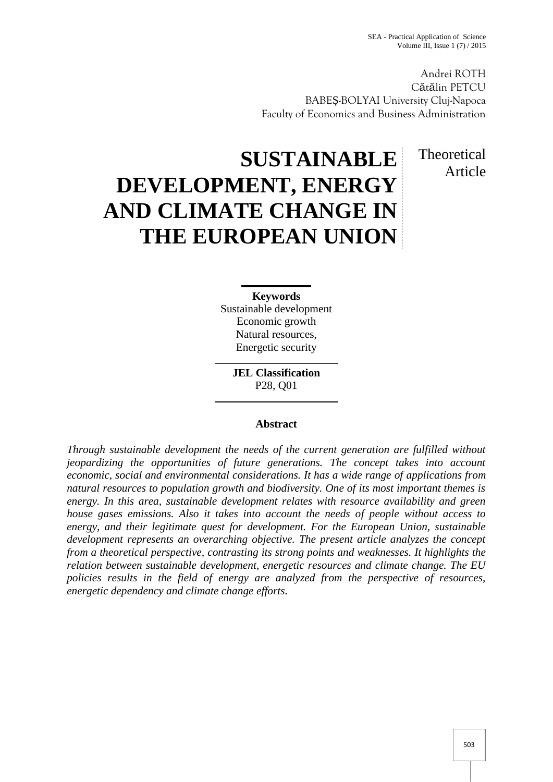Andrei ROTH Cătălin PETCU BABE -BOLYAI University Cluj-Napoca Faculty of Economics and Business Administration

> Theoretical Article

# **SUSTAINABLE DEVELOPMENT, ENERGY AND CLIMATE CHANGE IN THE EUROPEAN UNION**

**Keywords** Sustainable development Economic growth Natural resources, Energetic security

> **JEL Classification** P28, Q01

### **Abstract**

*Through sustainable development the needs of the current generation are fulfilled without jeopardizing the opportunities of future generations. The concept takes into account economic, social and environmental considerations. It has a wide range of applications from natural resources to population growth and biodiversity. One of its most important themes is energy. In this area, sustainable development relates with resource availability and green house gases emissions. Also it takes into account the needs of people without access to energy, and their legitimate quest for development. For the European Union, sustainable development represents an overarching objective. The present article analyzes the concept from a theoretical perspective, contrasting its strong points and weaknesses. It highlights the relation between sustainable development, energetic resources and climate change. The EU policies results in the field of energy are analyzed from the perspective of resources, energetic dependency and climate change efforts.*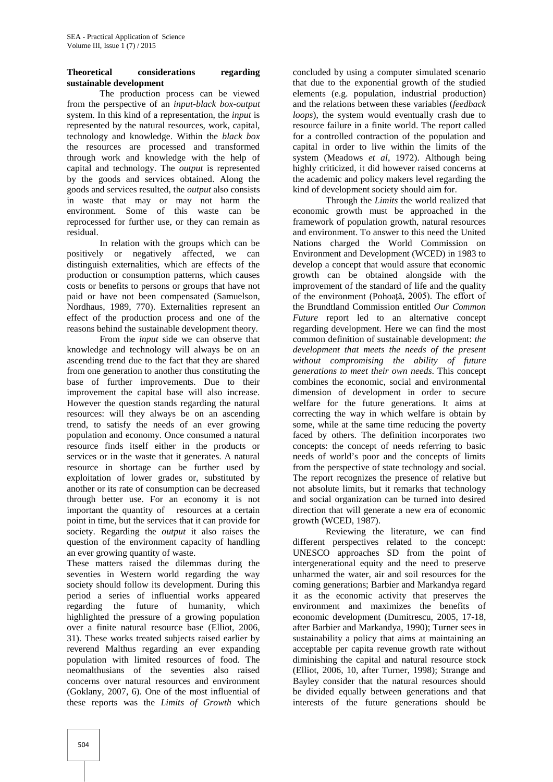## **Theoretical considerations regarding sustainable development**

The production process can be viewed from the perspective of an *input-black box-output* system. In this kind of a representation, the *input* is represented by the natural resources, work, capital, technology and knowledge. Within the *black box* the resources are processed and transformed through work and knowledge with the help of capital and technology. The *output* is represented by the goods and services obtained. Along the goods and services resulted, the *output* also consists in waste that may or may not harm the environment. Some of this waste can be reprocessed for further use, or they can remain as residual.

In relation with the groups which can be positively or negatively affected, we can distinguish externalities, which are effects of the production or consumption patterns, which causes costs or benefits to persons or groups that have not paid or have not been compensated (Samuelson, Nordhaus, 1989, 770). Externalities represent an effect of the production process and one of the reasons behind the sustainable development theory.

From the *input* side we can observe that knowledge and technology will always be on an ascending trend due to the fact that they are shared from one generation to another thus constituting the base of further improvements. Due to their improvement the capital base will also increase. However the question stands regarding the natural resources: will they always be on an ascending trend, to satisfy the needs of an ever growing population and economy. Once consumed a natural resource finds itself either in the products or services or in the waste that it generates. A natural resource in shortage can be further used by exploitation of lower grades or, substituted by another or its rate of consumption can be decreased through better use. For an economy it is not important the quantity of resources at a certain point in time, but the services that it can provide for society. Regarding the *output* it also raises the question of the environment capacity of handling an ever growing quantity of waste.

These matters raised the dilemmas during the seventies in Western world regarding the way society should follow its development. During this period a series of influential works appeared regarding the future of humanity, which highlighted the pressure of a growing population over a finite natural resource base (Elliot, 2006, 31). These works treated subjects raised earlier by reverend Malthus regarding an ever expanding population with limited resources of food. The neomalthusians of the seventies also raised concerns over natural resources and environment (Goklany, 2007, 6). One of the most influential of these reports was the *Limits of Growth* which

concluded by using a computer simulated scenario that due to the exponential growth of the studied elements (e.g. population, industrial production) and the relations between these variables (*feedback loops*), the system would eventually crash due to resource failure in a finite world. The report called for a controlled contraction of the population and capital in order to live within the limits of the system (Meadows *et al*, 1972). Although being highly criticized, it did however raised concerns at the academic and policy makers level regarding the kind of development society should aim for.

Through the *Limits* the world realized that economic growth must be approached in the framework of population growth, natural resources and environment. To answer to this need the United Nations charged the World Commission on Environment and Development (WCED) in 1983 to develop a concept that would assure that economic growth can be obtained alongside with the improvement of the standard of life and the quality of the environment (Pohoață, 2005). The effort of the Brundtland Commission entitled *Our Common Future* report led to an alternative concept regarding development. Here we can find the most common definition of sustainable development: *the development that meets the needs of the present without compromising the ability of future generations to meet their own needs*. This concept combines the economic, social and environmental dimension of development in order to secure welfare for the future generations. It aims at correcting the way in which welfare is obtain by some, while at the same time reducing the poverty faced by others. The definition incorporates two concepts: the concept of needs referring to basic needs of world's poor and the concepts of limits from the perspective of state technology and social. The report recognizes the presence of relative but not absolute limits, but it remarks that technology and social organization can be turned into desired direction that will generate a new era of economic growth (WCED, 1987).

Reviewing the literature, we can find different perspectives related to the concept: UNESCO approaches SD from the point of intergenerational equity and the need to preserve unharmed the water, air and soil resources for the coming generations; Barbier and Markandya regard it as the economic activity that preserves the environment and maximizes the benefits of economic development (Dumitrescu, 2005, 17-18, after Barbier and Markandya, 1990); Turner sees in sustainability a policy that aims at maintaining an acceptable per capita revenue growth rate without diminishing the capital and natural resource stock (Elliot, 2006, 10, after Turner, 1998); Strange and Bayley consider that the natural resources should be divided equally between generations and that interests of the future generations should be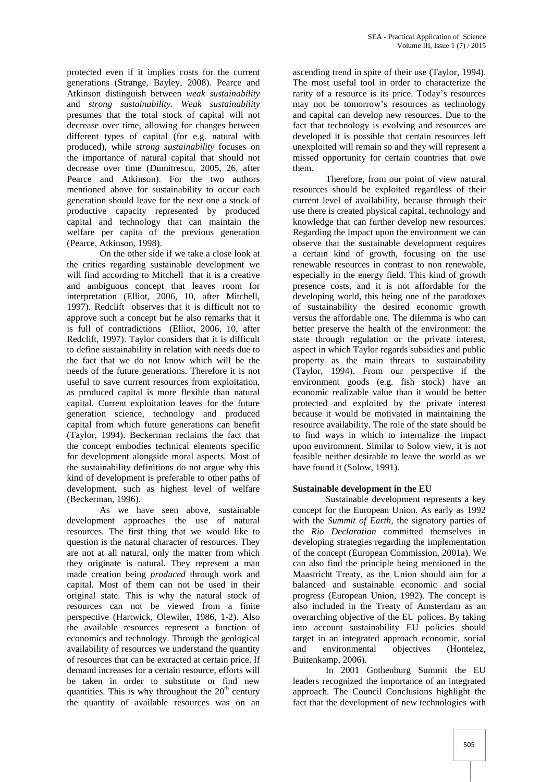protected even if it implies costs for the current generations (Strange, Bayley, 2008). Pearce and Atkinson distinguish between *weak sustainability* and *strong sustainability*. *Weak sustainability* presumes that the total stock of capital will not decrease over time, allowing for changes between different types of capital (for e.g. natural with produced), while *strong sustainability* focuses on the importance of natural capital that should not decrease over time (Dumitrescu, 2005, 26, after Pearce and Atkinson). For the two authors mentioned above for sustainability to occur each generation should leave for the next one a stock of productive capacity represented by produced capital and technology that can maintain the welfare per capita of the previous generation (Pearce, Atkinson, 1998).

On the other side if we take a close look at the critics regarding sustainable development we will find according to Mitchell that it is a creative and ambiguous concept that leaves room for interpretation (Elliot, 2006, 10, after Mitchell, 1997). Redclift observes that it is difficult not to approve such a concept but he also remarks that it is full of contradictions (Elliot, 2006, 10, after Redclift, 1997). Taylor considers that it is difficult to define sustainability in relation with needs due to the fact that we do not know which will be the needs of the future generations. Therefore it is not useful to save current resources from exploitation, as produced capital is more flexible than natural capital. Current exploitation leaves for the future generation science, technology and produced capital from which future generations can benefit (Taylor, 1994). Beckerman reclaims the fact that the concept embodies technical elements specific for development alongside moral aspects. Most of the sustainability definitions do not argue why this kind of development is preferable to other paths of development, such as highest level of welfare (Beckerman, 1996).

As we have seen above, sustainable development approaches the use of natural resources. The first thing that we would like to question is the natural character of resources. They are not at all natural, only the matter from which they originate is natural. They represent a man made creation being *produced* through work and capital. Most of them can not be used in their original state. This is why the natural stock of resources can not be viewed from a finite perspective (Hartwick, Olewiler, 1986, 1-2). Also the available resources represent a function of economics and technology. Through the geological availability of resources we understand the quantity of resources that can be extracted at certain price. If demand increases for a certain resource, efforts will be taken in order to substitute or find new quantities. This is why throughout the  $20<sup>th</sup>$  century the quantity of available resources was on an

ascending trend in spite of their use (Taylor, 1994). The most useful tool in order to characterize the rarity of a resource is its price. Today's resources may not be tomorrow's resources as technology and capital can develop new resources. Due to the fact that technology is evolving and resources are developed it is possible that certain resources left unexploited will remain so and they will represent a missed opportunity for certain countries that owe them.

Therefore, from our point of view natural resources should be exploited regardless of their current level of availability, because through their use there is created physical capital, technology and knowledge that can further develop new resources. Regarding the impact upon the environment we can observe that the sustainable development requires a certain kind of growth, focusing on the use renewable resources in contrast to non renewable, especially in the energy field. This kind of growth presence costs, and it is not affordable for the developing world, this being one of the paradoxes of sustainability the desired economic growth versus the affordable one. The dilemma is who can better preserve the health of the environment: the state through regulation or the private interest, aspect in which Taylor regards subsidies and public property as the main threats to sustainability (Taylor, 1994). From our perspective if the environment goods (e.g. fish stock) have an economic realizable value than it would be better protected and exploited by the private interest because it would be motivated in maintaining the resource availability. The role of the state should be to find ways in which to internalize the impact upon environment. Similar to Solow view, it is not feasible neither desirable to leave the world as we have found it (Solow, 1991).

## **Sustainable development in the EU**

Sustainable development represents a key concept for the European Union. As early as 1992 with the *Summit of Earth*, the signatory parties of the *Rio Declaration* committed themselves in developing strategies regarding the implementation of the concept (European Commission, 2001a). We can also find the principle being mentioned in the Maastricht Treaty, as the Union should aim for a balanced and sustainable economic and social progress (European Union, 1992). The concept is also included in the Treaty of Amsterdam as an overarching objective of the EU polices. By taking into account sustainability EU policies should target in an integrated approach economic, social environmental objectives (Hontelez, Buitenkamp, 2006).

In 2001 Gothenburg Summit the EU leaders recognized the importance of an integrated approach. The Council Conclusions highlight the fact that the development of new technologies with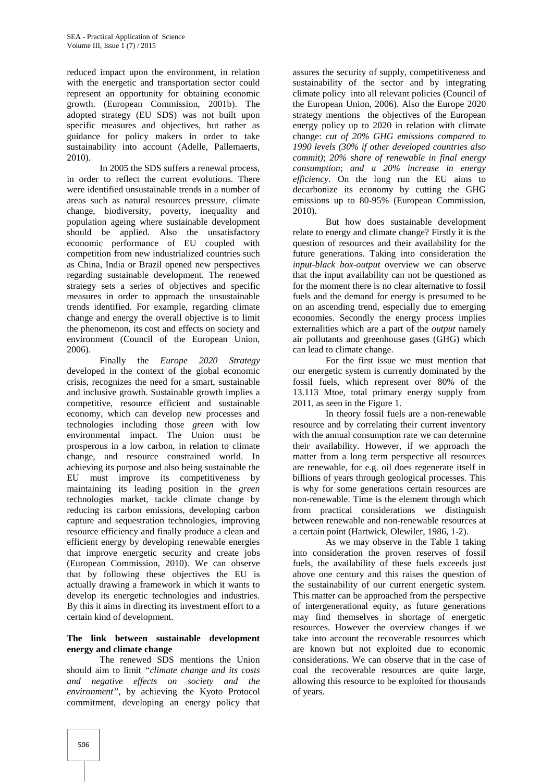reduced impact upon the environment, in relation with the energetic and transportation sector could represent an opportunity for obtaining economic growth. (European Commission, 2001b). The adopted strategy (EU SDS) was not built upon specific measures and objectives, but rather as guidance for policy makers in order to take sustainability into account (Adelle, Pallemaerts, 2010).

In 2005 the SDS suffers a renewal process, in order to reflect the current evolutions. There were identified unsustainable trends in a number of areas such as natural resources pressure, climate change, biodiversity, poverty, inequality and population ageing where sustainable development should be applied. Also the unsatisfactory economic performance of EU coupled with competition from new industrialized countries such as China, India or Brazil opened new perspectives regarding sustainable development. The renewed strategy sets a series of objectives and specific measures in order to approach the unsustainable trends identified. For example, regarding climate change and energy the overall objective is to limit the phenomenon, its cost and effects on society and environment (Council of the European Union, 2006).

Finally the *Europe 2020 Strategy* developed in the context of the global economic crisis, recognizes the need for a smart, sustainable and inclusive growth. Sustainable growth implies a competitive, resource efficient and sustainable economy, which can develop new processes and technologies including those *green* with low environmental impact. The Union must be prosperous in a low carbon, in relation to climate change, and resource constrained world. In achieving its purpose and also being sustainable the EU must improve its competitiveness by maintaining its leading position in the *green* technologies market, tackle climate change by reducing its carbon emissions, developing carbon capture and sequestration technologies, improving resource efficiency and finally produce a clean and efficient energy by developing renewable energies that improve energetic security and create jobs (European Commission, 2010). We can observe that by following these objectives the EU is actually drawing a framework in which it wants to develop its energetic technologies and industries. By this it aims in directing its investment effort to a certain kind of development.

## **The link between sustainable development energy and climate change**

The renewed SDS mentions the Union should aim to limit *"climate change and its costs and negative effects on society and the environment"*, by achieving the Kyoto Protocol commitment, developing an energy policy that

assures the security of supply, competitiveness and sustainability of the sector and by integrating climate policy into all relevant policies (Council of the European Union, 2006). Also the Europe 2020 strategy mentions the objectives of the European energy policy up to 2020 in relation with climate change: *cut of 20% GHG emissions compared to 1990 levels (30% if other developed countries also commit)*; *20% share of renewable in final energy consumption*; *and a 20% increase in energy efficiency*. On the long run the EU aims to decarbonize its economy by cutting the GHG emissions up to 80-95% (European Commission, 2010).

But how does sustainable development relate to energy and climate change? Firstly it is the question of resources and their availability for the future generations. Taking into consideration the *input-black box-output* overview we can observe that the input availability can not be questioned as for the moment there is no clear alternative to fossil fuels and the demand for energy is presumed to be on an ascending trend, especially due to emerging economies. Secondly the energy process implies externalities which are a part of the *output* namely air pollutants and greenhouse gases (GHG) which can lead to climate change.

For the first issue we must mention that our energetic system is currently dominated by the fossil fuels, which represent over 80% of the 13.113 Mtoe, total primary energy supply from 2011, as seen in the Figure 1.

In theory fossil fuels are a non-renewable resource and by correlating their current inventory with the annual consumption rate we can determine their availability. However, if we approach the matter from a long term perspective all resources are renewable, for e.g. oil does regenerate itself in billions of years through geological processes. This is why for some generations certain resources are non-renewable. Time is the element through which from practical considerations we distinguish between renewable and non-renewable resources at a certain point (Hartwick, Olewiler, 1986, 1-2).

As we may observe in the Table 1 taking into consideration the proven reserves of fossil fuels, the availability of these fuels exceeds just above one century and this raises the question of the sustainability of our current energetic system. This matter can be approached from the perspective of intergenerational equity, as future generations may find themselves in shortage of energetic resources. However the overview changes if we take into account the recoverable resources which are known but not exploited due to economic considerations. We can observe that in the case of coal the recoverable resources are quite large, allowing this resource to be exploited for thousands of years.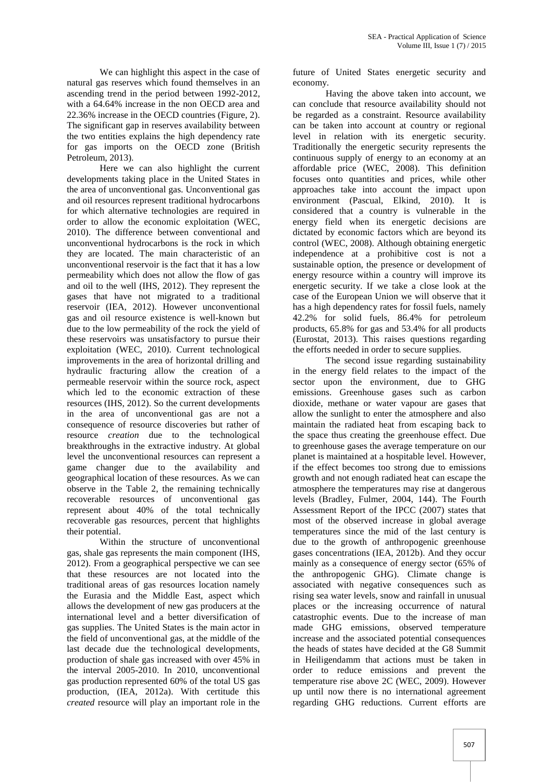We can highlight this aspect in the case of natural gas reserves which found themselves in an ascending trend in the period between 1992-2012, with a 64.64% increase in the non OECD area and 22.36% increase in the OECD countries (Figure, 2). The significant gap in reserves availability between the two entities explains the high dependency rate for gas imports on the OECD zone (British Petroleum, 2013).

Here we can also highlight the current developments taking place in the United States in the area of unconventional gas. Unconventional gas and oil resources represent traditional hydrocarbons for which alternative technologies are required in order to allow the economic exploitation (WEC, 2010). The difference between conventional and unconventional hydrocarbons is the rock in which they are located. The main characteristic of an unconventional reservoir is the fact that it has a low permeability which does not allow the flow of gas and oil to the well (IHS, 2012). They represent the gases that have not migrated to a traditional reservoir (IEA, 2012). However unconventional gas and oil resource existence is well-known but due to the low permeability of the rock the yield of these reservoirs was unsatisfactory to pursue their exploitation (WEC, 2010). Current technological improvements in the area of horizontal drilling and hydraulic fracturing allow the creation of a permeable reservoir within the source rock, aspect which led to the economic extraction of these resources (IHS, 2012). So the current developments in the area of unconventional gas are not a consequence of resource discoveries but rather of resource *creation* due to the technological breakthroughs in the extractive industry. At global level the unconventional resources can represent a game changer due to the availability and geographical location of these resources. As we can observe in the Table 2, the remaining technically recoverable resources of unconventional gas represent about 40% of the total technically recoverable gas resources, percent that highlights their potential.

Within the structure of unconventional gas, shale gas represents the main component (IHS, 2012). From a geographical perspective we can see that these resources are not located into the traditional areas of gas resources location namely the Eurasia and the Middle East, aspect which allows the development of new gas producers at the international level and a better diversification of gas supplies. The United States is the main actor in the field of unconventional gas, at the middle of the last decade due the technological developments, production of shale gas increased with over 45% in the interval 2005-2010. In 2010, unconventional gas production represented 60% of the total US gas production, (IEA, 2012a). With certitude this *created* resource will play an important role in the

future of United States energetic security and economy.

Having the above taken into account, we can conclude that resource availability should not be regarded as a constraint. Resource availability can be taken into account at country or regional level in relation with its energetic security. Traditionally the energetic security represents the continuous supply of energy to an economy at an affordable price (WEC, 2008). This definition focuses onto quantities and prices, while other approaches take into account the impact upon environment (Pascual, Elkind, 2010). It is considered that a country is vulnerable in the energy field when its energetic decisions are dictated by economic factors which are beyond its control (WEC, 2008). Although obtaining energetic independence at a prohibitive cost is not a sustainable option, the presence or development of energy resource within a country will improve its energetic security. If we take a close look at the case of the European Union we will observe that it has a high dependency rates for fossil fuels, namely 42.2% for solid fuels, 86.4% for petroleum products, 65.8% for gas and 53.4% for all products (Eurostat, 2013). This raises questions regarding the efforts needed in order to secure supplies.

The second issue regarding sustainability in the energy field relates to the impact of the sector upon the environment, due to GHG emissions. Greenhouse gases such as carbon dioxide, methane or water vapour are gases that allow the sunlight to enter the atmosphere and also maintain the radiated heat from escaping back to the space thus creating the greenhouse effect. Due to greenhouse gases the average temperature on our planet is maintained at a hospitable level. However, if the effect becomes too strong due to emissions growth and not enough radiated heat can escape the atmosphere the temperatures may rise at dangerous levels (Bradley, Fulmer, 2004, 144). The Fourth Assessment Report of the IPCC (2007) states that most of the observed increase in global average temperatures since the mid of the last century is due to the growth of anthropogenic greenhouse gases concentrations (IEA, 2012b). And they occur mainly as a consequence of energy sector (65% of the anthropogenic GHG). Climate change is associated with negative consequences such as rising sea water levels, snow and rainfall in unusual places or the increasing occurrence of natural catastrophic events. Due to the increase of man made GHG emissions, observed temperature increase and the associated potential consequences the heads of states have decided at the G8 Summit in Heiligendamm that actions must be taken in order to reduce emissions and prevent the temperature rise above 2C (WEC, 2009). However up until now there is no international agreement regarding GHG reductions. Current efforts are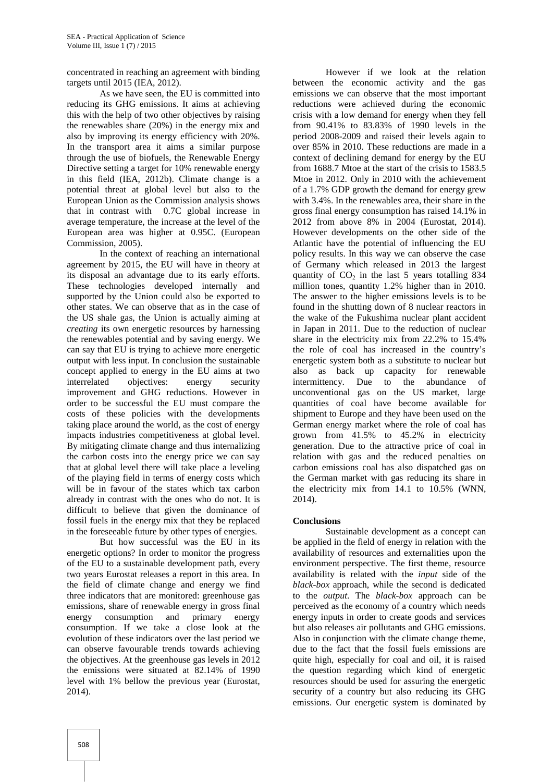concentrated in reaching an agreement with binding targets until 2015 (IEA, 2012).

As we have seen, the EU is committed into reducing its GHG emissions. It aims at achieving this with the help of two other objectives by raising the renewables share (20%) in the energy mix and also by improving its energy efficiency with 20%. In the transport area it aims a similar purpose through the use of biofuels, the Renewable Energy Directive setting a target for 10% renewable energy in this field (IEA, 2012b). Climate change is a potential threat at global level but also to the European Union as the Commission analysis shows that in contrast with 0.7C global increase in average temperature, the increase at the level of the European area was higher at 0.95C. (European Commission, 2005).

In the context of reaching an international agreement by 2015, the EU will have in theory at its disposal an advantage due to its early efforts. These technologies developed internally and supported by the Union could also be exported to other states. We can observe that as in the case of the US shale gas, the Union is actually aiming at *creating* its own energetic resources by harnessing the renewables potential and by saving energy. We can say that EU is trying to achieve more energetic output with less input. In conclusion the sustainable concept applied to energy in the EU aims at two interrelated objectives: energy security improvement and GHG reductions. However in order to be successful the EU must compare the costs of these policies with the developments taking place around the world, as the cost of energy impacts industries competitiveness at global level. By mitigating climate change and thus internalizing the carbon costs into the energy price we can say that at global level there will take place a leveling of the playing field in terms of energy costs which will be in favour of the states which tax carbon already in contrast with the ones who do not. It is difficult to believe that given the dominance of fossil fuels in the energy mix that they be replaced in the foreseeable future by other types of energies.

But how successful was the EU in its energetic options? In order to monitor the progress of the EU to a sustainable development path, every two years Eurostat releases a report in this area. In the field of climate change and energy we find three indicators that are monitored: greenhouse gas emissions, share of renewable energy in gross final energy consumption and primary energy consumption. If we take a close look at the evolution of these indicators over the last period we can observe favourable trends towards achieving the objectives. At the greenhouse gas levels in 2012 the emissions were situated at 82.14% of 1990 level with 1% bellow the previous year (Eurostat, 2014).

However if we look at the relation between the economic activity and the gas emissions we can observe that the most important reductions were achieved during the economic crisis with a low demand for energy when they fell from 90.41% to 83.83% of 1990 levels in the period 2008-2009 and raised their levels again to over 85% in 2010. These reductions are made in a context of declining demand for energy by the EU from 1688.7 Mtoe at the start of the crisis to 1583.5 Mtoe in 2012. Only in 2010 with the achievement of a 1.7% GDP growth the demand for energy grew with 3.4%. In the renewables area, their share in the gross final energy consumption has raised 14.1% in 2012 from above 8% in 2004 (Eurostat, 2014). However developments on the other side of the Atlantic have the potential of influencing the EU policy results. In this way we can observe the case of Germany which released in 2013 the largest quantity of  $CO<sub>2</sub>$  in the last 5 years totalling 834 million tones, quantity 1.2% higher than in 2010. The answer to the higher emissions levels is to be found in the shutting down of 8 nuclear reactors in the wake of the Fukushima nuclear plant accident in Japan in 2011. Due to the reduction of nuclear share in the electricity mix from 22.2% to 15.4% the role of coal has increased in the country's energetic system both as a substitute to nuclear but also as back up capacity for renewable intermittency. Due to the abundance of unconventional gas on the US market, large quantities of coal have become available for shipment to Europe and they have been used on the German energy market where the role of coal has grown from 41.5% to 45.2% in electricity generation. Due to the attractive price of coal in relation with gas and the reduced penalties on carbon emissions coal has also dispatched gas on the German market with gas reducing its share in the electricity mix from 14.1 to 10.5% (WNN, 2014).

### **Conclusions**

Sustainable development as a concept can be applied in the field of energy in relation with the availability of resources and externalities upon the environment perspective. The first theme, resource availability is related with the *input* side of the *black-box* approach, while the second is dedicated to the *output*. The *black-box* approach can be perceived as the economy of a country which needs energy inputs in order to create goods and services but also releases air pollutants and GHG emissions. Also in conjunction with the climate change theme, due to the fact that the fossil fuels emissions are quite high, especially for coal and oil, it is raised the question regarding which kind of energetic resources should be used for assuring the energetic security of a country but also reducing its GHG emissions. Our energetic system is dominated by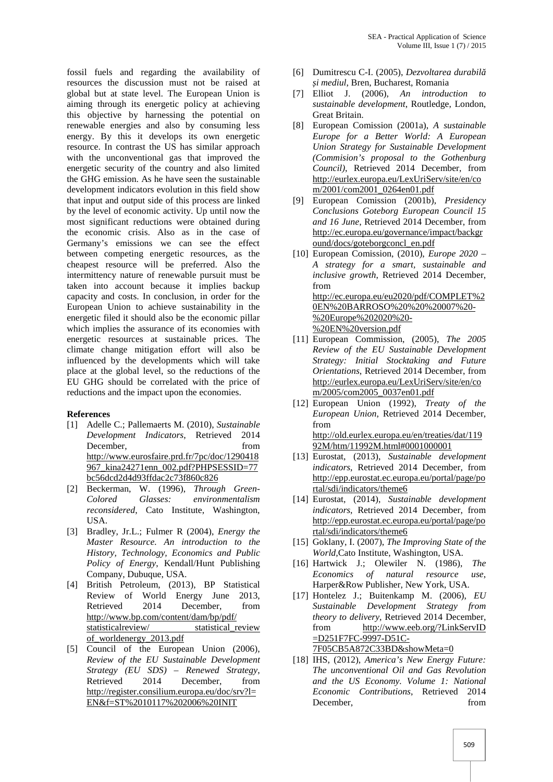fossil fuels and regarding the availability of resources the discussion must not be raised at global but at state level. The European Union is aiming through its energetic policy at achieving this objective by harnessing the potential on renewable energies and also by consuming less energy. By this it develops its own energetic resource. In contrast the US has similar approach with the unconventional gas that improved the energetic security of the country and also limited the GHG emission. As he have seen the sustainable development indicators evolution in this field show that input and output side of this process are linked by the level of economic activity. Up until now the most significant reductions were obtained during the economic crisis. Also as in the case of Germany's emissions we can see the effect between competing energetic resources, as the cheapest resource will be preferred. Also the intermittency nature of renewable pursuit must be taken into account because it implies backup capacity and costs. In conclusion, in order for the European Union to achieve sustainability in the energetic filed it should also be the economic pillar which implies the assurance of its economies with energetic resources at sustainable prices. The climate change mitigation effort will also be influenced by the developments which will take place at the global level, so the reductions of the EU GHG should be correlated with the price of reductions and the impact upon the economies.

### **References**

- [1] Adelle C.; Pallemaerts M. (2010), *Sustainable Development Indicators*, Retrieved 2014 December, from from  $\sim$ http://www.eurosfaire.prd.fr/7pc/doc/1290418 967\_kina24271enn\_002.pdf?PHPSESSID=77 bc56dcd2d4d93ffdac2c73f860c826
- [2] Beckerman, W. (1996), *Through Green- Colored Glasses: environmentalism reconsidered*, Cato Institute, Washington, USA.
- [3] Bradley, Jr.L.; Fulmer R (2004), *Energy the Master Resource. An introduction to the History, Technology, Economics and Public Policy of Energy*, Kendall/Hunt Publishing Company, Dubuque, USA.
- [4] British Petroleum, (2013), BP Statistical Review of World Energy June 2013, Retrieved 2014 December, from http://www.bp.com/content/dam/bp/pdf/ statisticalreview/ statistical review of\_worldenergy\_2013.pdf
- [5] Council of the European Union (2006), *Review of the EU Sustainable Development Strategy (EU SDS) – Renewed Strategy*, Retrieved 2014 December, from http://register.consilium.europa.eu/doc/srv?l= EN&f=ST%2010117%202006%20INIT
- [6] Dumitrescu C-I. (2005), *Dezvoltarea durabil și mediul*, Bren, Bucharest, Romania
- [7] Elliot J. (2006), *An introduction to sustainable development*, Routledge, London, Great Britain.
- [8] European Comission (2001a), *A sustainable Europe for a Better World: A European Union Strategy for Sustainable Development (Commision's proposal to the Gothenburg Council)*, Retrieved 2014 December, from http://eurlex.europa.eu/LexUriServ/site/en/co m/2001/com2001\_0264en01.pdf
- [9] European Comission (2001b), *Presidency Conclusions Goteborg European Council 15 and 16 June*, Retrieved 2014 December, from http://ec.europa.eu/governance/impact/backgr ound/docs/goteborgconcl\_en.pdf
- [10] European Comission, (2010), *Europe 2020 – A strategy for a smart, sustainable and inclusive growth*, Retrieved 2014 December, from http://ec.europa.eu/eu2020/pdf/COMPLET%2 0EN%20BARROSO%20%20%20007%20- %20Europe%202020%20- %20EN%20version.pdf
- [11] European Commission, (2005), *The 2005 Review of the EU Sustainable Development Strategy: Initial Stocktaking and Future Orientations*, Retrieved 2014 December, from http://eurlex.europa.eu/LexUriServ/site/en/co m/2005/com2005\_0037en01.pdf
- [12] European Union (1992), *Treaty of the European Union*, Retrieved 2014 December, from http://old.eurlex.europa.eu/en/treaties/dat/119 92M/htm/11992M.html#0001000001
- [13] Eurostat, (2013), *Sustainable development indicators*, Retrieved 2014 December, from http://epp.eurostat.ec.europa.eu/portal/page/po rtal/sdi/indicators/theme6
- [14] Eurostat, (2014), *Sustainable development indicators*, Retrieved 2014 December, from http://epp.eurostat.ec.europa.eu/portal/page/po rtal/sdi/indicators/theme6
- [15] Goklany, I. (2007), *The Improving State of the World,*Cato Institute, Washington, USA.
- [16] Hartwick J.; Olewiler N. (1986), *The Economics of natural resource use*, Harper&Row Publisher, New York, USA.
- [17] Hontelez J.; Buitenkamp M. (2006), *EU Sustainable Development Strategy from theory to delivery*, Retrieved 2014 December, from http://www.eeb.org/?LinkServID =D251F7FC-9997-D51C- 7F05CB5A872C33BD&showMeta=0
- [18] IHS, (2012), *America's New Energy Future: The unconventional Oil and Gas Revolution and the US Economy. Volume 1: National Economic Contributions*, Retrieved 2014 December, from from  $\sim$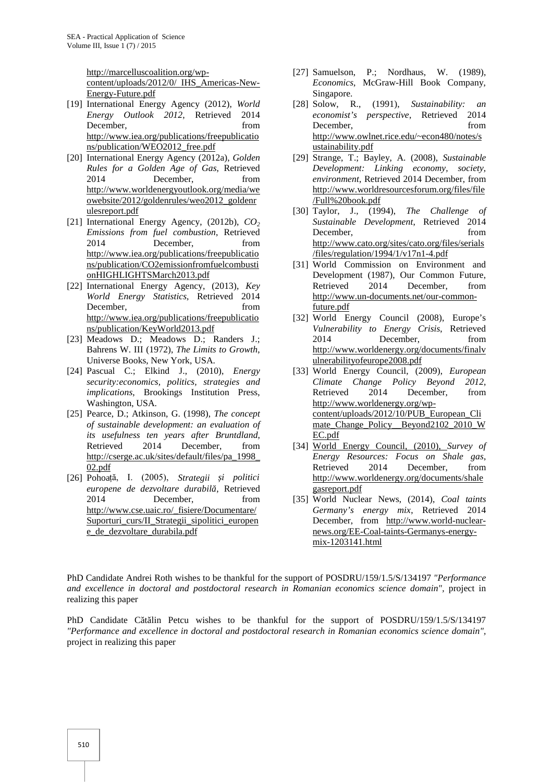http://marcelluscoalition.org/wp-

content/uploads/2012/0/ IHS\_Americas-New- Energy-Future.pdf

- [19] International Energy Agency (2012), *World Energy Outlook 2012*, Retrieved 2014 December, from from  $\sim$ http://www.iea.org/publications/freepublicatio ns/publication/WEO2012\_free.pdf
- [20] International Energy Agency (2012a), *Golden Rules for a Golden Age of Gas*, Retrieved 2014 December, from http://www.worldenergyoutlook.org/media/we owebsite/2012/goldenrules/weo2012\_goldenr ulesreport.pdf
- [21] International Energy Agency, (2012b), *CO<sup>2</sup> Emissions from fuel combustion*, Retrieved 2014 December, from http://www.iea.org/publications/freepublicatio ns/publication/CO2emissionfromfuelcombusti onHIGHLIGHTSMarch2013.pdf
- [22] International Energy Agency, (2013), *Key World Energy Statistics*, Retrieved 2014 December, from from  $\sim$ http://www.iea.org/publications/freepublicatio ns/publication/KeyWorld2013.pdf
- [23] Meadows D.; Meadows D.; Randers J.; Bahrens W. III (1972), *The Limits to Growth*, Universe Books, New York, USA.
- [24] Pascual C.; Elkind J., (2010), *Energy security:economics, politics, strategies and implications*, Brookings Institution Press, Washington, USA.
- [25] Pearce, D.; Atkinson, G. (1998), *The concept of sustainable development: an evaluation of its usefulness ten years after Bruntdland*, Retrieved 2014 December, from http://cserge.ac.uk/sites/default/files/pa\_1998\_ 02.pdf
- [26] Pohoață, I. (2005), *Strategii și politici europene de dezvoltare durabilă*, Retrieved 2014 December, from http://www.cse.uaic.ro/\_fisiere/Documentare/ Suporturi\_curs/II\_Strategii\_sipolitici\_europen e\_de\_dezvoltare\_durabila.pdf
- [27] Samuelson, P.; Nordhaus, W. (1989), *Economics*, McGraw-Hill Book Company, Singapore.
- [28] Solow, R., (1991), *Sustainability: an economist's perspective*, Retrieved 2014 December, from from  $\sim$ http://www.owlnet.rice.edu/~econ480/notes/s ustainability.pdf
- [29] Strange, T.; Bayley, A. (2008), *Sustainable Development: Linking economy, society, environment*, Retrieved 2014 December, from http://www.worldresourcesforum.org/files/file /Full%20book.pdf
- [30] Taylor, J., (1994), *The Challenge of Sustainable Development*, Retrieved 2014 December, from from  $\sim$ http://www.cato.org/sites/cato.org/files/serials /files/regulation/1994/1/v17n1-4.pdf
- [31] World Commission on Environment and Development (1987), Our Common Future, Retrieved 2014 December, from http://www.un-documents.net/our-commonfuture.pdf
- [32] World Energy Council (2008), Europe's *Vulnerability to Energy Crisis*, Retrieved 2014 December, from http://www.worldenergy.org/documents/finalv ulnerabilityofeurope2008.pdf
- [33] World Energy Council, (2009), *European Climate Change Policy Beyond 2012*, Retrieved 2014 December, from http://www.worldenergy.org/wp content/uploads/2012/10/PUB\_European\_Cli mate\_Change\_Policy\_\_Beyond2102\_2010\_W EC.pdf
- [34] World Energy Council, (2010), *Survey of Energy Resources: Focus on Shale gas*, Retrieved 2014 December, from http://www.worldenergy.org/documents/shale gasreport.pdf
- [35] World Nuclear News, (2014), *Coal taints Germany's energy mix*, Retrieved 2014 December, from http://www.world-nuclear news.org/EE-Coal-taints-Germanys-energy mix-1203141.html

PhD Candidate Andrei Roth wishes to be thankful for the support of POSDRU/159/1.5/S/134197 *"Performance and excellence in doctoral and postdoctoral research in Romanian economics science domain",* project in realizing this paper

PhD Candidate C t lin Petcu wishes to be thankful for the support of POSDRU/159/1.5/S/134197 *"Performance and excellence in doctoral and postdoctoral research in Romanian economics science domain",* project in realizing this paper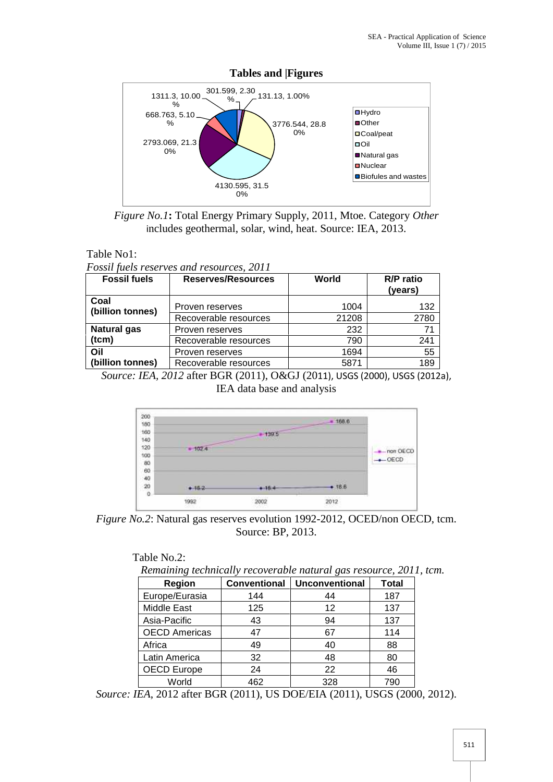

**Tables and |Figures**



# Table No1:

*Fossil fuels reserves and resources, 2011*

| <b>Fossil fuels</b>      | Reserves/Resources    | World | <b>R/P</b> ratio<br>(years) |
|--------------------------|-----------------------|-------|-----------------------------|
| Coal<br>(billion tonnes) | Proven reserves       | 1004  | 132                         |
|                          | Recoverable resources | 21208 | 2780                        |
| <b>Natural gas</b>       | Proven reserves       | 232   | 71                          |
| (tcm)                    | Recoverable resources | 790   | 241                         |
| Oil                      | Proven reserves       | 1694  | 55                          |
| (billion tonnes)         | Recoverable resources | 5871  | 189                         |

*Source: IEA, 2012* after BGR (2011), O&GJ (2011), USGS (2000), USGS (2012a), IEA data base and analysis



*Figure No.2*: Natural gas reserves evolution 1992-2012, OCED/non OECD, tcm. Source: BP, 2013.

*Remaining technically recoverable natural gas resource, 2011, tcm.*

| <b>Region</b>        | <b>Conventional</b> | <b>Unconventional</b> | <b>Total</b> |
|----------------------|---------------------|-----------------------|--------------|
| Europe/Eurasia       | 144                 | 44                    | 187          |
| Middle East          | 125                 | 12                    | 137          |
| Asia-Pacific         | 43                  | 94                    | 137          |
| <b>OECD Americas</b> | 47                  | 67                    | 114          |
| Africa               | 49                  | 40                    | 88           |
| Latin America        | 32                  | 48                    | 80           |
| <b>OECD Europe</b>   | 24                  | 22                    | 46           |
| World                | 462                 | 328                   | 790          |

*Source: IEA*, 2012 after BGR (2011), US DOE/EIA (2011), USGS (2000, 2012).